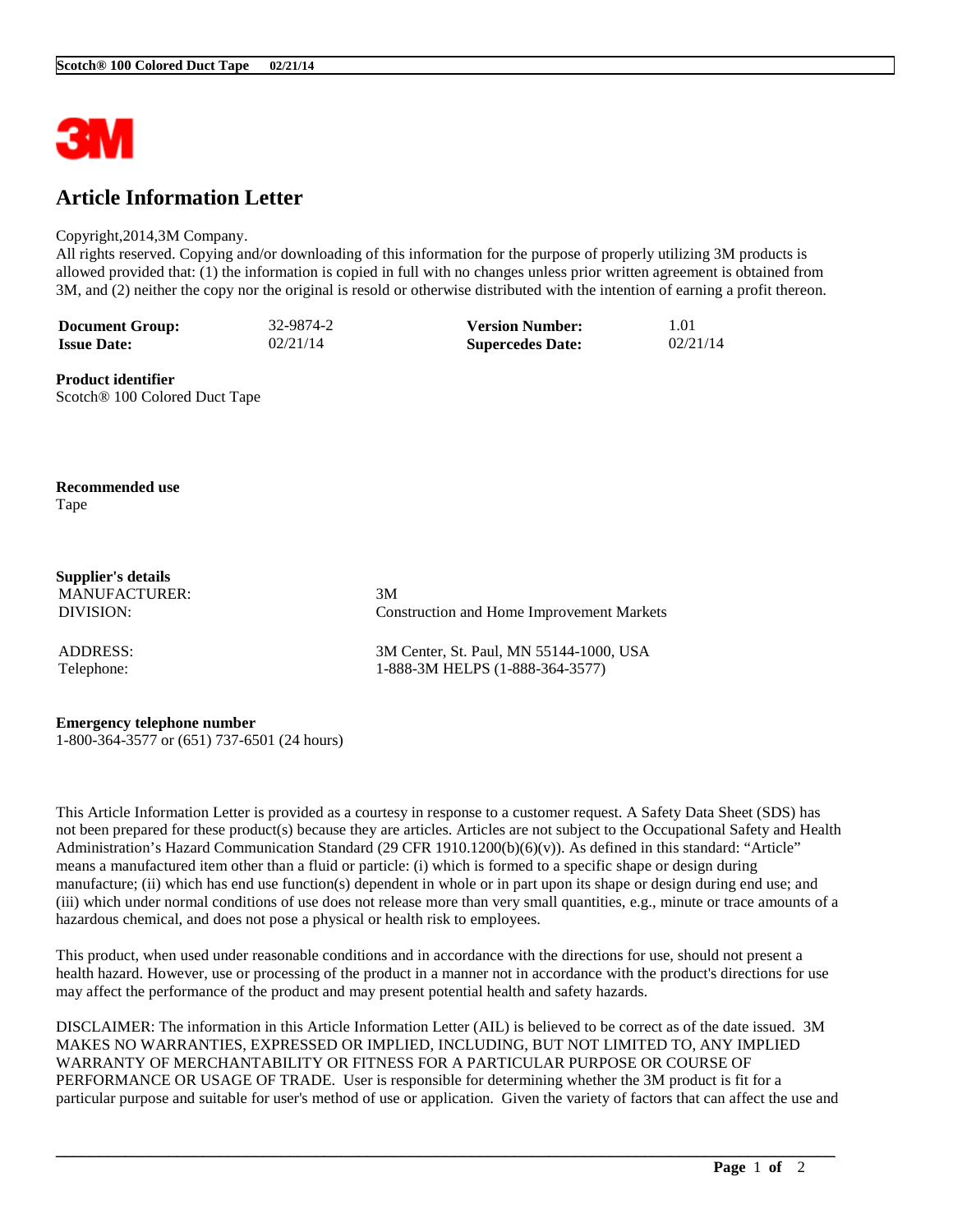

## **Article Information Letter**

## Copyright,2014,3M Company.

All rights reserved. Copying and/or downloading of this information for the purpose of properly utilizing 3M products is allowed provided that: (1) the information is copied in full with no changes unless prior written agreement is obtained from 3M, and (2) neither the copy nor the original is resold or otherwise distributed with the intention of earning a profit thereon.

| <b>Document Group:</b> | 32-9874-2 | <b>Version Number:</b>  | 1.01     |
|------------------------|-----------|-------------------------|----------|
| <b>Issue Date:</b>     | 02/21/14  | <b>Supercedes Date:</b> | 02/21/14 |

**Product identifier** Scotch® 100 Colored Duct Tape

**Recommended use** Tape

**Supplier's details** MANUFACTURER: 3M

DIVISION: Construction and Home Improvement Markets

ADDRESS: 3M Center, St. Paul, MN 55144-1000, USA Telephone: 1-888-3M HELPS (1-888-364-3577)

## **Emergency telephone number**

1-800-364-3577 or (651) 737-6501 (24 hours)

This Article Information Letter is provided as a courtesy in response to a customer request. A Safety Data Sheet (SDS) has not been prepared for these product(s) because they are articles. Articles are not subject to the Occupational Safety and Health Administration's Hazard Communication Standard (29 CFR 1910.1200(b)(6)(v)). As defined in this standard: "Article" means a manufactured item other than a fluid or particle: (i) which is formed to a specific shape or design during manufacture; (ii) which has end use function(s) dependent in whole or in part upon its shape or design during end use; and (iii) which under normal conditions of use does not release more than very small quantities, e.g., minute or trace amounts of a hazardous chemical, and does not pose a physical or health risk to employees.

This product, when used under reasonable conditions and in accordance with the directions for use, should not present a health hazard. However, use or processing of the product in a manner not in accordance with the product's directions for use may affect the performance of the product and may present potential health and safety hazards.

DISCLAIMER: The information in this Article Information Letter (AIL) is believed to be correct as of the date issued. 3M MAKES NO WARRANTIES, EXPRESSED OR IMPLIED, INCLUDING, BUT NOT LIMITED TO, ANY IMPLIED WARRANTY OF MERCHANTABILITY OR FITNESS FOR A PARTICULAR PURPOSE OR COURSE OF PERFORMANCE OR USAGE OF TRADE. User is responsible for determining whether the 3M product is fit for a particular purpose and suitable for user's method of use or application. Given the variety of factors that can affect the use and

\_\_\_\_\_\_\_\_\_\_\_\_\_\_\_\_\_\_\_\_\_\_\_\_\_\_\_\_\_\_\_\_\_\_\_\_\_\_\_\_\_\_\_\_\_\_\_\_\_\_\_\_\_\_\_\_\_\_\_\_\_\_\_\_\_\_\_\_\_\_\_\_\_\_\_\_\_\_\_\_\_\_\_\_\_\_\_\_\_\_